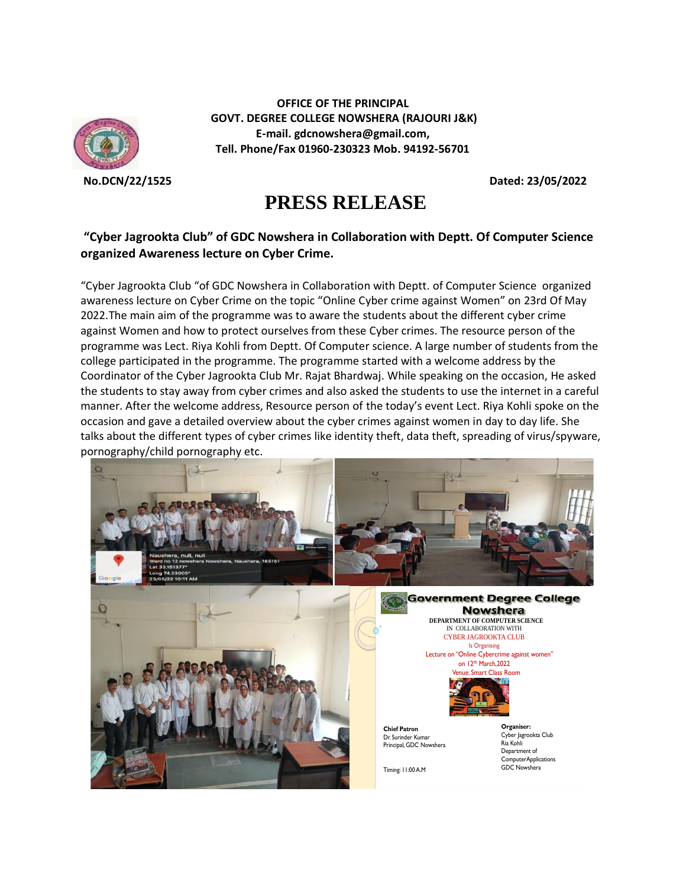

**OFFICE OF THE PRINCIPAL GOVT. DEGREE COLLEGE NOWSHERA (RAJOURI J&K) E-mail. gdcnowshera@gmail.com, Tell. Phone/Fax 01960-230323 Mob. 94192-56701**

**No.DCN/22/1525 Dated: 23/05/2022**

## **PRESS RELEASE**

## **"Cyber Jagrookta Club" of GDC Nowshera in Collaboration with Deptt. Of Computer Science organized Awareness lecture on Cyber Crime.**

"Cyber Jagrookta Club "of GDC Nowshera in Collaboration with Deptt. of Computer Science organized awareness lecture on Cyber Crime on the topic "Online Cyber crime against Women" on 23rd Of May 2022.The main aim of the programme was to aware the students about the different cyber crime against Women and how to protect ourselves from these Cyber crimes. The resource person of the programme was Lect. Riya Kohli from Deptt. Of Computer science. A large number of students from the college participated in the programme. The programme started with a welcome address by the Coordinator of the Cyber Jagrookta Club Mr. Rajat Bhardwaj. While speaking on the occasion, He asked the students to stay away from cyber crimes and also asked the students to use the internet in a careful manner. After the welcome address, Resource person of the today's event Lect. Riya Kohli spoke on the occasion and gave a detailed overview about the cyber crimes against women in day to day life. She talks about the different types of cyber crimes like identity theft, data theft, spreading of virus/spyware, pornography/child pornography etc.